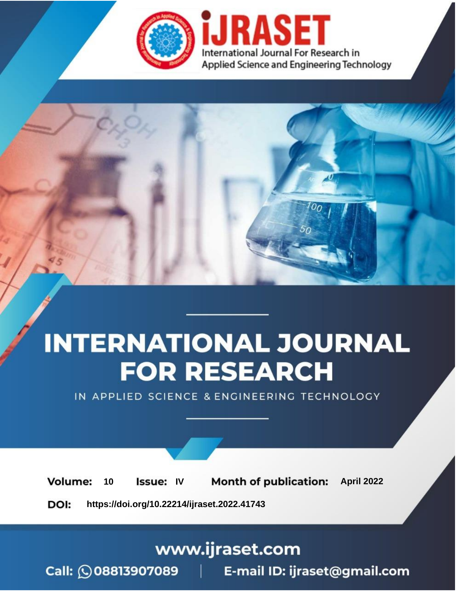

# **INTERNATIONAL JOURNAL FOR RESEARCH**

IN APPLIED SCIENCE & ENGINEERING TECHNOLOGY

10 **Issue: IV Month of publication:** April 2022 **Volume:** 

**https://doi.org/10.22214/ijraset.2022.41743**DOI:

www.ijraset.com

Call: 008813907089 | E-mail ID: ijraset@gmail.com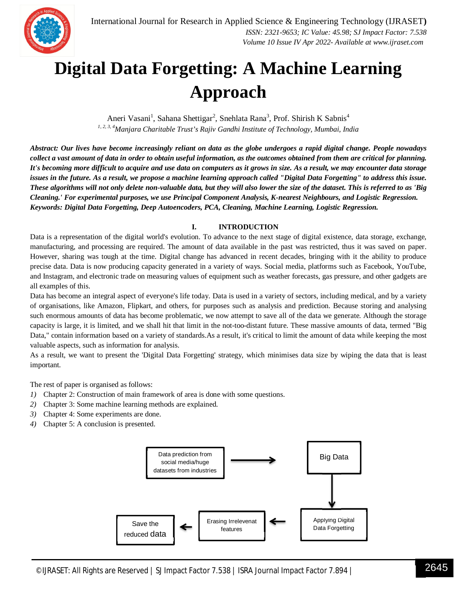### **Digital Data Forgetting: A Machine Learning Approach**

Aneri Vasani<sup>1</sup>, Sahana Shettigar<sup>2</sup>, Snehlata Rana<sup>3</sup>, Prof. Shirish K Sabnis<sup>4</sup> *1, 2, 3, 4Manjara Charitable Trust's Rajiv Gandhi Institute of Technology, Mumbai, India*

*Abstract: Our lives have become increasingly reliant on data as the globe undergoes a rapid digital change. People nowadays collect a vast amount of data in order to obtain useful information, as the outcomes obtained from them are critical for planning. It's becoming more difficult to acquire and use data on computers as it grows in size. As a result, we may encounter data storage issues in the future. As a result, we propose a machine learning approach called "Digital Data Forgetting" to address this issue. These algorithms will not only delete non-valuable data, but they will also lower the size of the dataset. This is referred to as 'Big Cleaning.' For experimental purposes, we use Principal Component Analysis, K-nearest Neighbours, and Logistic Regression. Keywords: Digital Data Forgetting, Deep Autoencoders, PCA, Cleaning, Machine Learning, Logistic Regression.*

#### **I. INTRODUCTION**

Data is a representation of the digital world's evolution. To advance to the next stage of digital existence, data storage, exchange, manufacturing, and processing are required. The amount of data available in the past was restricted, thus it was saved on paper. However, sharing was tough at the time. Digital change has advanced in recent decades, bringing with it the ability to produce precise data. Data is now producing capacity generated in a variety of ways. Social media, platforms such as Facebook, YouTube, and Instagram, and electronic trade on measuring values of equipment such as weather forecasts, gas pressure, and other gadgets are all examples of this.

Data has become an integral aspect of everyone's life today. Data is used in a variety of sectors, including medical, and by a variety of organisations, like Amazon, Flipkart, and others, for purposes such as analysis and prediction. Because storing and analysing such enormous amounts of data has become problematic, we now attempt to save all of the data we generate. Although the storage capacity is large, it is limited, and we shall hit that limit in the not-too-distant future. These massive amounts of data, termed "Big Data," contain information based on a variety of standards.As a result, it's critical to limit the amount of data while keeping the most valuable aspects, such as information for analysis.

As a result, we want to present the 'Digital Data Forgetting' strategy, which minimises data size by wiping the data that is least important.

The rest of paper is organised as follows:

- *1)* Chapter 2: Construction of main framework of area is done with some questions.
- *2)* Chapter 3: Some machine learning methods are explained.
- *3)* Chapter 4: Some experiments are done.
- *4)* Chapter 5: A conclusion is presented.

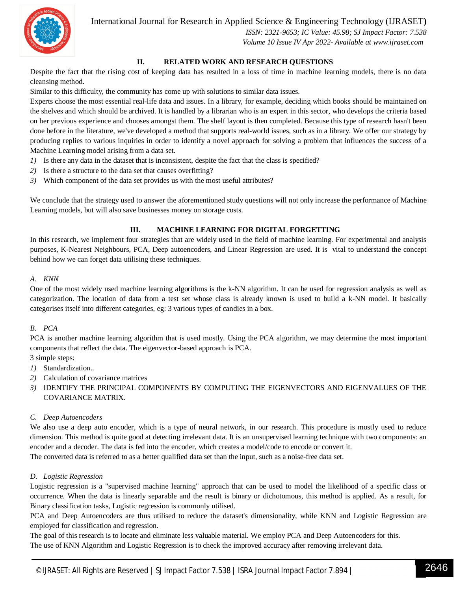#### International Journal for Research in Applied Science & Engineering Technology (IJRASET**)**



 *ISSN: 2321-9653; IC Value: 45.98; SJ Impact Factor: 7.538 Volume 10 Issue IV Apr 2022- Available at www.ijraset.com*

#### **II. RELATED WORK AND RESEARCH QUESTIONS**

Despite the fact that the rising cost of keeping data has resulted in a loss of time in machine learning models, there is no data cleansing method.

Similar to this difficulty, the community has come up with solutions to similar data issues.

Experts choose the most essential real-life data and issues. In a library, for example, deciding which books should be maintained on the shelves and which should be archived. It is handled by a librarian who is an expert in this sector, who develops the criteria based on her previous experience and chooses amongst them. The shelf layout is then completed. Because this type of research hasn't been done before in the literature, we've developed a method that supports real-world issues, such as in a library. We offer our strategy by producing replies to various inquiries in order to identify a novel approach for solving a problem that influences the success of a Machine Learning model arising from a data set.

- *1)* Is there any data in the dataset that is inconsistent, despite the fact that the class is specified?
- *2)* Is there a structure to the data set that causes overfitting?
- *3)* Which component of the data set provides us with the most useful attributes?

We conclude that the strategy used to answer the aforementioned study questions will not only increase the performance of Machine Learning models, but will also save businesses money on storage costs.

#### **III. MACHINE LEARNING FOR DIGITAL FORGETTING**

In this research, we implement four strategies that are widely used in the field of machine learning. For experimental and analysis purposes, K-Nearest Neighbours, PCA, Deep autoencoders, and Linear Regression are used. It is vital to understand the concept behind how we can forget data utilising these techniques.

#### *A. KNN*

One of the most widely used machine learning algorithms is the k-NN algorithm. It can be used for regression analysis as well as categorization. The location of data from a test set whose class is already known is used to build a k-NN model. It basically categorises itself into different categories, eg: 3 various types of candies in a box.

#### *B. PCA*

PCA is another machine learning algorithm that is used mostly. Using the PCA algorithm, we may determine the most important components that reflect the data. The eigenvector-based approach is PCA.

3 simple steps:

- *1)* Standardization..
- *2)* Calculation of covariance matrices
- *3)* IDENTIFY THE PRINCIPAL COMPONENTS BY COMPUTING THE EIGENVECTORS AND EIGENVALUES OF THE COVARIANCE MATRIX.

#### *C. Deep Autoencoders*

We also use a deep auto encoder, which is a type of neural network, in our research. This procedure is mostly used to reduce dimension. This method is quite good at detecting irrelevant data. It is an unsupervised learning technique with two components: an encoder and a decoder. The data is fed into the encoder, which creates a model/code to encode or convert it.

The converted data is referred to as a better qualified data set than the input, such as a noise-free data set.

#### *D. Logistic Regression*

Logistic regression is a "supervised machine learning" approach that can be used to model the likelihood of a specific class or occurrence. When the data is linearly separable and the result is binary or dichotomous, this method is applied. As a result, for Binary classification tasks, Logistic regression is commonly utilised.

PCA and Deep Autoencoders are thus utilised to reduce the dataset's dimensionality, while KNN and Logistic Regression are employed for classification and regression.

The goal of this research is to locate and eliminate less valuable material. We employ PCA and Deep Autoencoders for this. The use of KNN Algorithm and Logistic Regression is to check the improved accuracy after removing irrelevant data.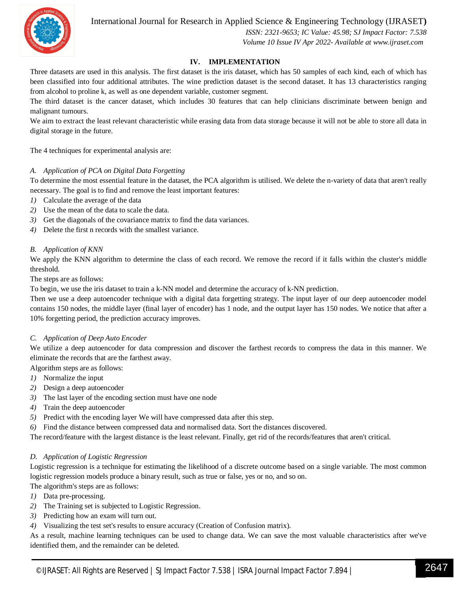

International Journal for Research in Applied Science & Engineering Technology (IJRASET**)**

 *ISSN: 2321-9653; IC Value: 45.98; SJ Impact Factor: 7.538 Volume 10 Issue IV Apr 2022- Available at www.ijraset.com*

#### **IV. IMPLEMENTATION**

Three datasets are used in this analysis. The first dataset is the iris dataset, which has 50 samples of each kind, each of which has been classified into four additional attributes. The wine prediction dataset is the second dataset. It has 13 characteristics ranging from alcohol to proline k, as well as one dependent variable, customer segment.

The third dataset is the cancer dataset, which includes 30 features that can help clinicians discriminate between benign and malignant tumours.

We aim to extract the least relevant characteristic while erasing data from data storage because it will not be able to store all data in digital storage in the future.

The 4 techniques for experimental analysis are:

#### *A. Application of PCA on Digital Data Forgetting*

To determine the most essential feature in the dataset, the PCA algorithm is utilised. We delete the n-variety of data that aren't really necessary. The goal is to find and remove the least important features:

- *1)* Calculate the average of the data
- *2)* Use the mean of the data to scale the data.
- *3)* Get the diagonals of the covariance matrix to find the data variances.
- *4)* Delete the first n records with the smallest variance.

#### *B. Application of KNN*

We apply the KNN algorithm to determine the class of each record. We remove the record if it falls within the cluster's middle threshold.

The steps are as follows:

To begin, we use the iris dataset to train a k-NN model and determine the accuracy of k-NN prediction.

Then we use a deep autoencoder technique with a digital data forgetting strategy. The input layer of our deep autoencoder model contains 150 nodes, the middle layer (final layer of encoder) has 1 node, and the output layer has 150 nodes. We notice that after a 10% forgetting period, the prediction accuracy improves.

#### *C. Application of Deep Auto Encoder*

We utilize a deep autoencoder for data compression and discover the farthest records to compress the data in this manner. We eliminate the records that are the farthest away.

- Algorithm steps are as follows:
- *1)* Normalize the input
- *2)* Design a deep autoencoder
- *3)* The last layer of the encoding section must have one node
- *4)* Train the deep autoencoder
- *5)* Predict with the encoding layer We will have compressed data after this step.
- *6)* Find the distance between compressed data and normalised data. Sort the distances discovered.

The record/feature with the largest distance is the least relevant. Finally, get rid of the records/features that aren't critical.

#### *D. Application of Logistic Regression*

Logistic regression is a technique for estimating the likelihood of a discrete outcome based on a single variable. The most common logistic regression models produce a binary result, such as true or false, yes or no, and so on. The algorithm's steps are as follows:

- *1)* Data pre-processing.
- *2)* The Training set is subjected to Logistic Regression.
- *3)* Predicting how an exam will turn out.
- *4)* Visualizing the test set's results to ensure accuracy (Creation of Confusion matrix).

As a result, machine learning techniques can be used to change data. We can save the most valuable characteristics after we've identified them, and the remainder can be deleted.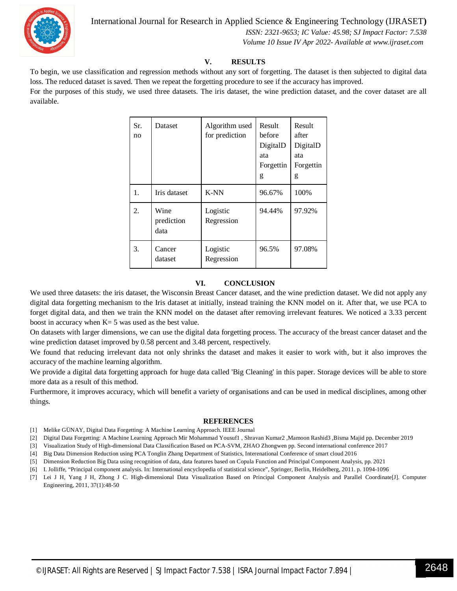

International Journal for Research in Applied Science & Engineering Technology (IJRASET**)**

 *ISSN: 2321-9653; IC Value: 45.98; SJ Impact Factor: 7.538 Volume 10 Issue IV Apr 2022- Available at www.ijraset.com*

#### **V. RESULTS**

To begin, we use classification and regression methods without any sort of forgetting. The dataset is then subjected to digital data loss. The reduced dataset is saved. Then we repeat the forgetting procedure to see if the accuracy has improved.

For the purposes of this study, we used three datasets. The iris dataset, the wine prediction dataset, and the cover dataset are all available.

| Sr.<br>no | Dataset                    | Algorithm used<br>for prediction | Result<br>before<br>DigitalD<br>ata<br>Forgettin<br>g | Result<br>after<br>DigitalD<br>ata<br>Forgettin<br>g |
|-----------|----------------------------|----------------------------------|-------------------------------------------------------|------------------------------------------------------|
| 1.        | Iris dataset               | K-NN                             | 96.67%                                                | 100%                                                 |
| 2.        | Wine<br>prediction<br>data | Logistic<br>Regression           | 94.44%                                                | 97.92%                                               |
| 3.        | Cancer<br>dataset          | Logistic<br>Regression           | 96.5%                                                 | 97.08%                                               |

#### **VI. CONCLUSION**

We used three datasets: the iris dataset, the Wisconsin Breast Cancer dataset, and the wine prediction dataset. We did not apply any digital data forgetting mechanism to the Iris dataset at initially, instead training the KNN model on it. After that, we use PCA to forget digital data, and then we train the KNN model on the dataset after removing irrelevant features. We noticed a 3.33 percent boost in accuracy when  $K= 5$  was used as the best value.

On datasets with larger dimensions, we can use the digital data forgetting process. The accuracy of the breast cancer dataset and the wine prediction dataset improved by 0.58 percent and 3.48 percent, respectively.

We found that reducing irrelevant data not only shrinks the dataset and makes it easier to work with, but it also improves the accuracy of the machine learning algorithm.

We provide a digital data forgetting approach for huge data called 'Big Cleaning' in this paper. Storage devices will be able to store more data as a result of this method.

Furthermore, it improves accuracy, which will benefit a variety of organisations and can be used in medical disciplines, among other things.

#### **REFERENCES**

- [1] Melike GÜNAY, Digital Data Forgetting: A Machine Learning Approach. IEEE Journal
- [2] Digital Data Forgetting: A Machine Learning Approach Mir Mohammad Yousuf1 , Shravan Kumar2 ,Mamoon Rashid3 ,Bisma Majid pp. December 2019
- [3] Visualization Study of High-dimensional Data Classification Based on PCA-SVM, ZHAO Zhongwen pp. Second international conference 2017
- [4] Big Data Dimension Reduction using PCA Tonglin Zhang Department of Statistics, Interenational Conference of smart cloud 2016
- [5] Dimension Reduction Big Data using recognition of data, data features based on Copula Function and Principal Component Analysis, pp. 2021
- [6] I. Jolliffe, "Principal component analysis. In: International encyclopedia of statistical science", Springer, Berlin, Heidelberg, 2011. p. 1094-1096
- [7] Lei J H, Yang J H, Zhong J C. High-dimensional Data Visualization Based on Principal Component Analysis and Parallel Coordinate[J]. Computer Engineering, 2011, 37(1):48-50